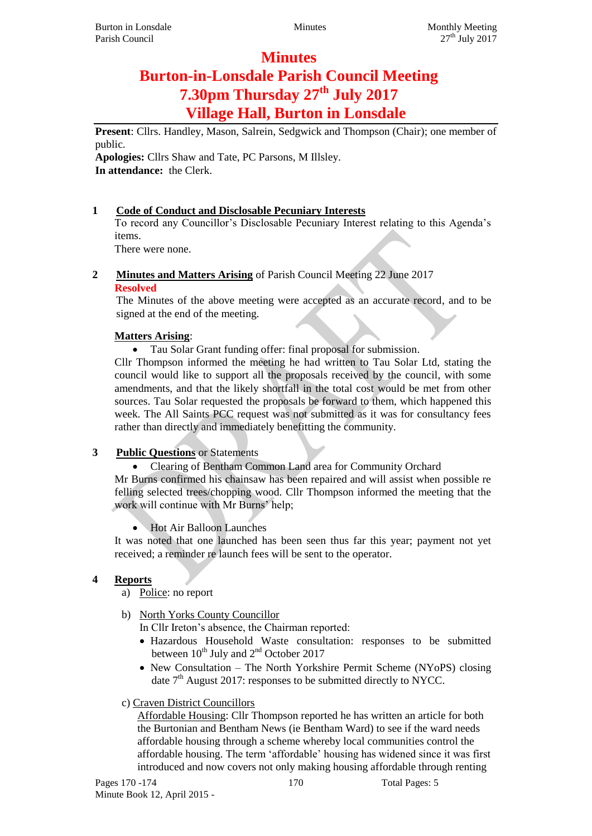## **Minutes**

# **Burton-in-Lonsdale Parish Council Meeting 7.30pm Thursday 27th July 2017 Village Hall, Burton in Lonsdale**

**Present**: Cllrs. Handley, Mason, Salrein, Sedgwick and Thompson (Chair); one member of public.

**Apologies:** Cllrs Shaw and Tate, PC Parsons, M Illsley. **In attendance:** the Clerk.

## **1 Code of Conduct and Disclosable Pecuniary Interests**

To record any Councillor's Disclosable Pecuniary Interest relating to this Agenda's items.

There were none.

#### **2 Minutes and Matters Arising** of Parish Council Meeting 22 June 2017 **Resolved**

The Minutes of the above meeting were accepted as an accurate record, and to be signed at the end of the meeting.

## **Matters Arising**:

Tau Solar Grant funding offer: final proposal for submission.

Cllr Thompson informed the meeting he had written to Tau Solar Ltd, stating the council would like to support all the proposals received by the council, with some amendments, and that the likely shortfall in the total cost would be met from other sources. Tau Solar requested the proposals be forward to them, which happened this week. The All Saints PCC request was not submitted as it was for consultancy fees rather than directly and immediately benefitting the community.

## **3 Public Questions** or Statements

Clearing of Bentham Common Land area for Community Orchard

Mr Burns confirmed his chainsaw has been repaired and will assist when possible re felling selected trees/chopping wood. Cllr Thompson informed the meeting that the work will continue with Mr Burns' help;

Hot Air Balloon Launches

It was noted that one launched has been seen thus far this year; payment not yet received; a reminder re launch fees will be sent to the operator.

## **4 Reports**

- a) Police: no report
- b) North Yorks County Councillor

In Cllr Ireton's absence, the Chairman reported:

- Hazardous Household Waste consultation: responses to be submitted between  $10^{th}$  July and  $2^{nd}$  October 2017
- New Consultation The North Yorkshire Permit Scheme (NYoPS) closing date  $7<sup>th</sup>$  August 2017: responses to be submitted directly to NYCC.

## c) Craven District Councillors

Affordable Housing: Cllr Thompson reported he has written an article for both the Burtonian and Bentham News (ie Bentham Ward) to see if the ward needs affordable housing through a scheme whereby local communities control the affordable housing. The term 'affordable' housing has widened since it was first introduced and now covers not only making housing affordable through renting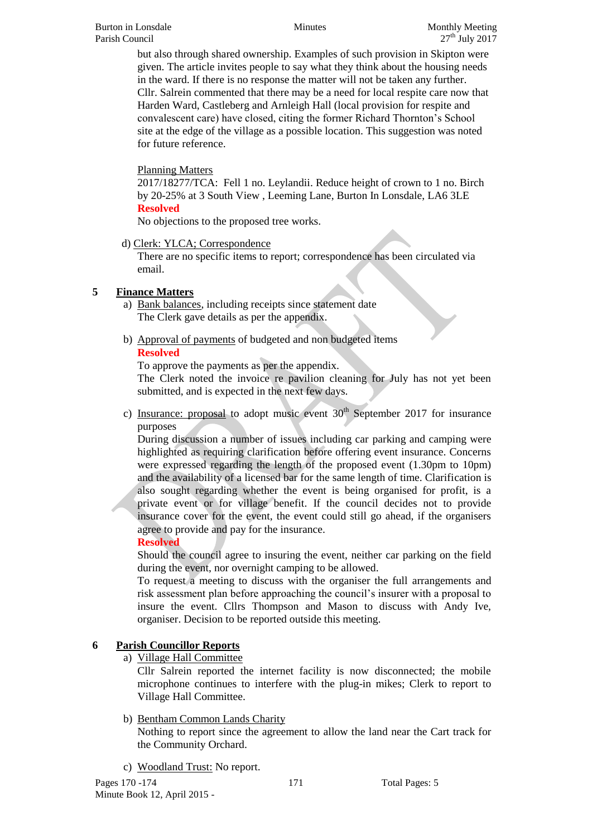but also through shared ownership. Examples of such provision in Skipton were given. The article invites people to say what they think about the housing needs in the ward. If there is no response the matter will not be taken any further. Cllr. Salrein commented that there may be a need for local respite care now that Harden Ward, Castleberg and Arnleigh Hall (local provision for respite and convalescent care) have closed, citing the former Richard Thornton's School site at the edge of the village as a possible location. This suggestion was noted for future reference.

#### Planning Matters

2017/18277/TCA: Fell 1 no. Leylandii. Reduce height of crown to 1 no. Birch by 20-25% at 3 South View , Leeming Lane, Burton In Lonsdale, LA6 3LE **Resolved**

No objections to the proposed tree works.

d) Clerk: YLCA; Correspondence

There are no specific items to report; correspondence has been circulated via email.

#### **5 Finance Matters**

- a) Bank balances, including receipts since statement date The Clerk gave details as per the appendix.
- b) Approval of payments of budgeted and non budgeted items **Resolved**

To approve the payments as per the appendix.

The Clerk noted the invoice re pavilion cleaning for July has not yet been submitted, and is expected in the next few days.

c) Insurance: proposal to adopt music event  $30<sup>th</sup>$  September 2017 for insurance purposes

During discussion a number of issues including car parking and camping were highlighted as requiring clarification before offering event insurance. Concerns were expressed regarding the length of the proposed event (1.30pm to 10pm) and the availability of a licensed bar for the same length of time. Clarification is also sought regarding whether the event is being organised for profit, is a private event or for village benefit. If the council decides not to provide insurance cover for the event, the event could still go ahead, if the organisers agree to provide and pay for the insurance.

#### **Resolved**

Should the council agree to insuring the event, neither car parking on the field during the event, nor overnight camping to be allowed.

To request a meeting to discuss with the organiser the full arrangements and risk assessment plan before approaching the council's insurer with a proposal to insure the event. Cllrs Thompson and Mason to discuss with Andy Ive, organiser. Decision to be reported outside this meeting.

## **6 Parish Councillor Reports**

#### a) Village Hall Committee

Cllr Salrein reported the internet facility is now disconnected; the mobile microphone continues to interfere with the plug-in mikes; Clerk to report to Village Hall Committee.

b) Bentham Common Lands Charity

Nothing to report since the agreement to allow the land near the Cart track for the Community Orchard.

c) Woodland Trust: No report.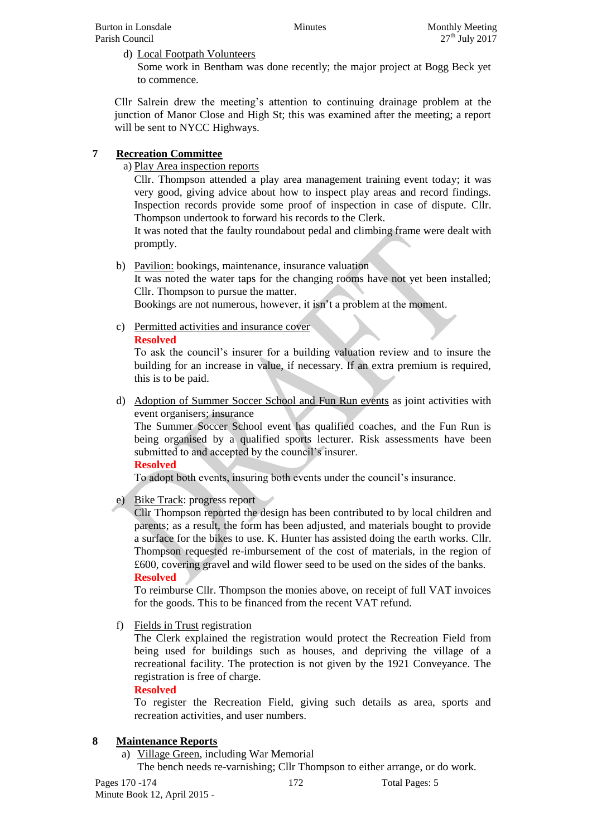d) Local Footpath Volunteers

Some work in Bentham was done recently; the major project at Bogg Beck yet to commence.

Cllr Salrein drew the meeting's attention to continuing drainage problem at the junction of Manor Close and High St; this was examined after the meeting; a report will be sent to NYCC Highways.

## **7 Recreation Committee**

a) Play Area inspection reports

Cllr. Thompson attended a play area management training event today; it was very good, giving advice about how to inspect play areas and record findings. Inspection records provide some proof of inspection in case of dispute. Cllr. Thompson undertook to forward his records to the Clerk.

It was noted that the faulty roundabout pedal and climbing frame were dealt with promptly.

b) Pavilion: bookings, maintenance, insurance valuation

It was noted the water taps for the changing rooms have not vet been installed; Cllr. Thompson to pursue the matter.

Bookings are not numerous, however, it isn't a problem at the moment.

c) Permitted activities and insurance cover **Resolved**

To ask the council's insurer for a building valuation review and to insure the building for an increase in value, if necessary. If an extra premium is required, this is to be paid.

d) Adoption of Summer Soccer School and Fun Run events as joint activities with event organisers; insurance

The Summer Soccer School event has qualified coaches, and the Fun Run is being organised by a qualified sports lecturer. Risk assessments have been submitted to and accepted by the council's insurer.

**Resolved**

To adopt both events, insuring both events under the council's insurance.

e) Bike Track: progress report

Cllr Thompson reported the design has been contributed to by local children and parents; as a result, the form has been adjusted, and materials bought to provide a surface for the bikes to use. K. Hunter has assisted doing the earth works. Cllr. Thompson requested re-imbursement of the cost of materials, in the region of £600, covering gravel and wild flower seed to be used on the sides of the banks. **Resolved**

To reimburse Cllr. Thompson the monies above, on receipt of full VAT invoices for the goods. This to be financed from the recent VAT refund.

f) Fields in Trust registration

The Clerk explained the registration would protect the Recreation Field from being used for buildings such as houses, and depriving the village of a recreational facility. The protection is not given by the 1921 Conveyance. The registration is free of charge.

#### **Resolved**

To register the Recreation Field, giving such details as area, sports and recreation activities, and user numbers.

## **8 Maintenance Reports**

a) Village Green, including War Memorial

The bench needs re-varnishing; Cllr Thompson to either arrange, or do work.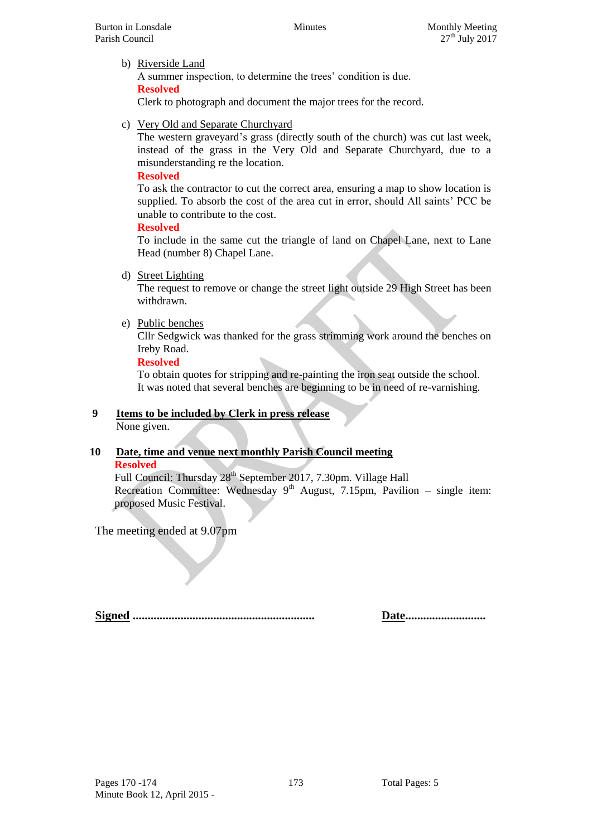b) Riverside Land

A summer inspection, to determine the trees' condition is due. **Resolved**

Clerk to photograph and document the major trees for the record.

c) Very Old and Separate Churchyard

The western graveyard's grass (directly south of the church) was cut last week, instead of the grass in the Very Old and Separate Churchyard, due to a misunderstanding re the location.

### **Resolved**

To ask the contractor to cut the correct area, ensuring a map to show location is supplied. To absorb the cost of the area cut in error, should All saints' PCC be unable to contribute to the cost.

#### **Resolved**

To include in the same cut the triangle of land on Chapel Lane, next to Lane Head (number 8) Chapel Lane.

d) Street Lighting

The request to remove or change the street light outside 29 High Street has been withdrawn.

e) Public benches

Cllr Sedgwick was thanked for the grass strimming work around the benches on Ireby Road.

#### **Resolved**

To obtain quotes for stripping and re-painting the iron seat outside the school. It was noted that several benches are beginning to be in need of re-varnishing.

## **9 Items to be included by Clerk in press release**

None given.

#### **10 Date, time and venue next monthly Parish Council meeting Resolved**

Full Council: Thursday 28<sup>th</sup> September 2017, 7.30pm. Village Hall Recreation Committee: Wednesday  $9<sup>th</sup>$  August, 7.15pm, Pavilion – single item: proposed Music Festival.

The meeting ended at 9.07pm

**Signed ............................................................. Date...........................**